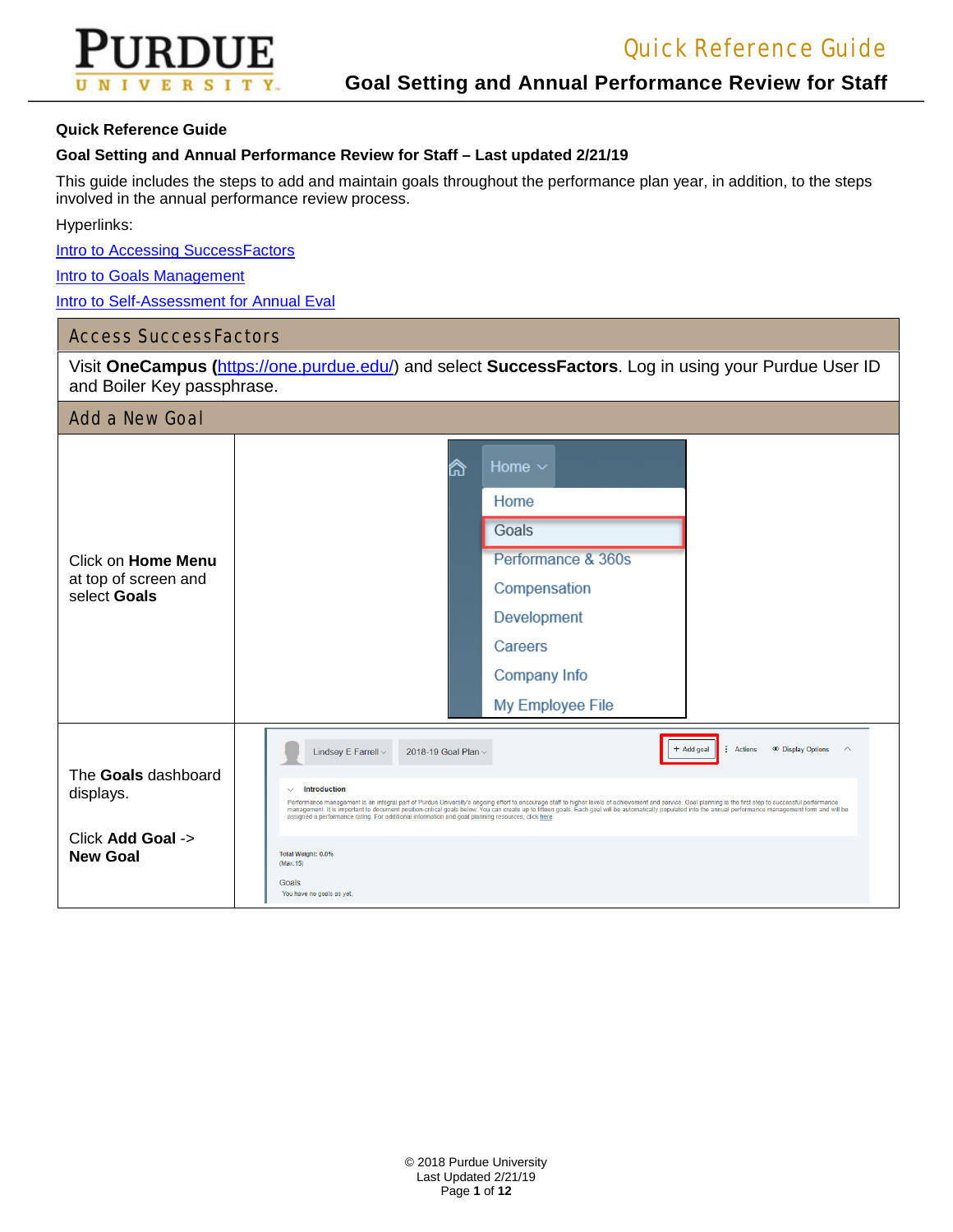

#### **Goal Setting and Annual Performance Review for Staff – Last updated 2/21/19**

This guide includes the steps to add and maintain goals throughout the performance plan year, in addition, to the steps involved in the annual performance review process.

Hyperlinks:

[Intro to Accessing SuccessFactors](https://www.purdue.edu/hr/lod/media/videos/gmpm/1/story.html)

**[Intro to Goals Management](https://www.purdue.edu/hr/lod/media/videos/gmpm/3/story.html)** 

[Intro to Self-Assessment for Annual Eval](https://www.purdue.edu/hr/lod/media/videos/gmpm/8/story.html)

### Access SuccessFactors

Visit **OneCampus (**[https://one.purdue.edu/\)](https://one.purdue.edu/) and select **SuccessFactors**. Log in using your Purdue User ID and Boiler Key passphrase.

| <b>Add a New Goal</b>                |                                                                                                                                                                                                                                                                                                                                                                                                                                                                                                                                                                         |  |  |  |
|--------------------------------------|-------------------------------------------------------------------------------------------------------------------------------------------------------------------------------------------------------------------------------------------------------------------------------------------------------------------------------------------------------------------------------------------------------------------------------------------------------------------------------------------------------------------------------------------------------------------------|--|--|--|
|                                      | Home $\sim$<br>衍                                                                                                                                                                                                                                                                                                                                                                                                                                                                                                                                                        |  |  |  |
|                                      | Home                                                                                                                                                                                                                                                                                                                                                                                                                                                                                                                                                                    |  |  |  |
|                                      | Goals                                                                                                                                                                                                                                                                                                                                                                                                                                                                                                                                                                   |  |  |  |
| Click on Home Menu                   | Performance & 360s                                                                                                                                                                                                                                                                                                                                                                                                                                                                                                                                                      |  |  |  |
| at top of screen and<br>select Goals | Compensation                                                                                                                                                                                                                                                                                                                                                                                                                                                                                                                                                            |  |  |  |
|                                      | Development                                                                                                                                                                                                                                                                                                                                                                                                                                                                                                                                                             |  |  |  |
|                                      | Careers                                                                                                                                                                                                                                                                                                                                                                                                                                                                                                                                                                 |  |  |  |
|                                      | Company Info                                                                                                                                                                                                                                                                                                                                                                                                                                                                                                                                                            |  |  |  |
|                                      | My Employee File                                                                                                                                                                                                                                                                                                                                                                                                                                                                                                                                                        |  |  |  |
|                                      | + Add goal<br>Actions<br><b>E</b> Display Options<br>$\sim$<br>Lindsey E Farrell ~<br>2018-19 Goal Plan ~                                                                                                                                                                                                                                                                                                                                                                                                                                                               |  |  |  |
| The Goals dashboard<br>displays.     | <b>Introduction</b><br>$\checkmark$<br>Performance management is an integral part of Purdue University's ongoing effort to encourage staff to higher levels of achievement and service. Goal planning is the first step to successful performance<br>management. It is important to document position-critical goals below. You can create up to fifteen goals. Each goal will be automatically populated into the annual performance management form and will be<br>assigned a performance rating. For additional information and goal planning resources, click here. |  |  |  |
| Click Add Goal -><br><b>New Goal</b> | Total Weight: 0.0%<br>(Max:15)                                                                                                                                                                                                                                                                                                                                                                                                                                                                                                                                          |  |  |  |
|                                      | Goals<br>You have no goals as yet.                                                                                                                                                                                                                                                                                                                                                                                                                                                                                                                                      |  |  |  |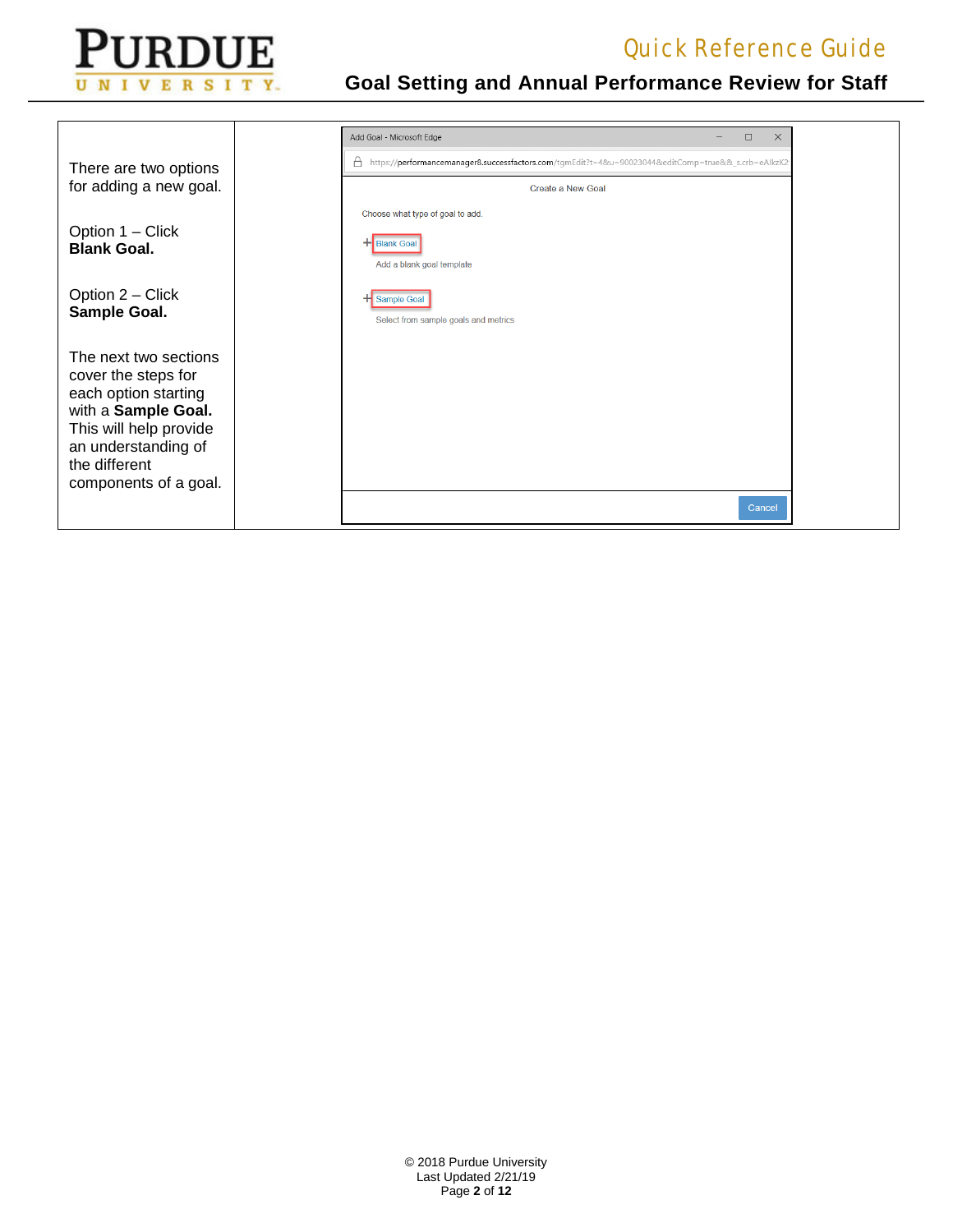

|                                                                                                                                                                                        | Add Goal - Microsoft Edge                                                                           | $\Box$<br>$\times$ |  |
|----------------------------------------------------------------------------------------------------------------------------------------------------------------------------------------|-----------------------------------------------------------------------------------------------------|--------------------|--|
| There are two options                                                                                                                                                                  | https://performancemanager8.successfactors.com/tgmEdit?t=4&u=90023044&editComp=true&&_s.crb=eAlkzK2 |                    |  |
| for adding a new goal.                                                                                                                                                                 | Create a New Goal                                                                                   |                    |  |
|                                                                                                                                                                                        | Choose what type of goal to add.                                                                    |                    |  |
| Option 1 – Click<br><b>Blank Goal.</b>                                                                                                                                                 | <b>Blank Goa</b><br>Add a blank goal template                                                       |                    |  |
| Option 2 – Click<br>Sample Goal.                                                                                                                                                       | Sample Goal<br>Select from sample goals and metrics                                                 |                    |  |
| The next two sections<br>cover the steps for<br>each option starting<br>with a Sample Goal.<br>This will help provide<br>an understanding of<br>the different<br>components of a goal. |                                                                                                     |                    |  |
|                                                                                                                                                                                        |                                                                                                     | Cancel             |  |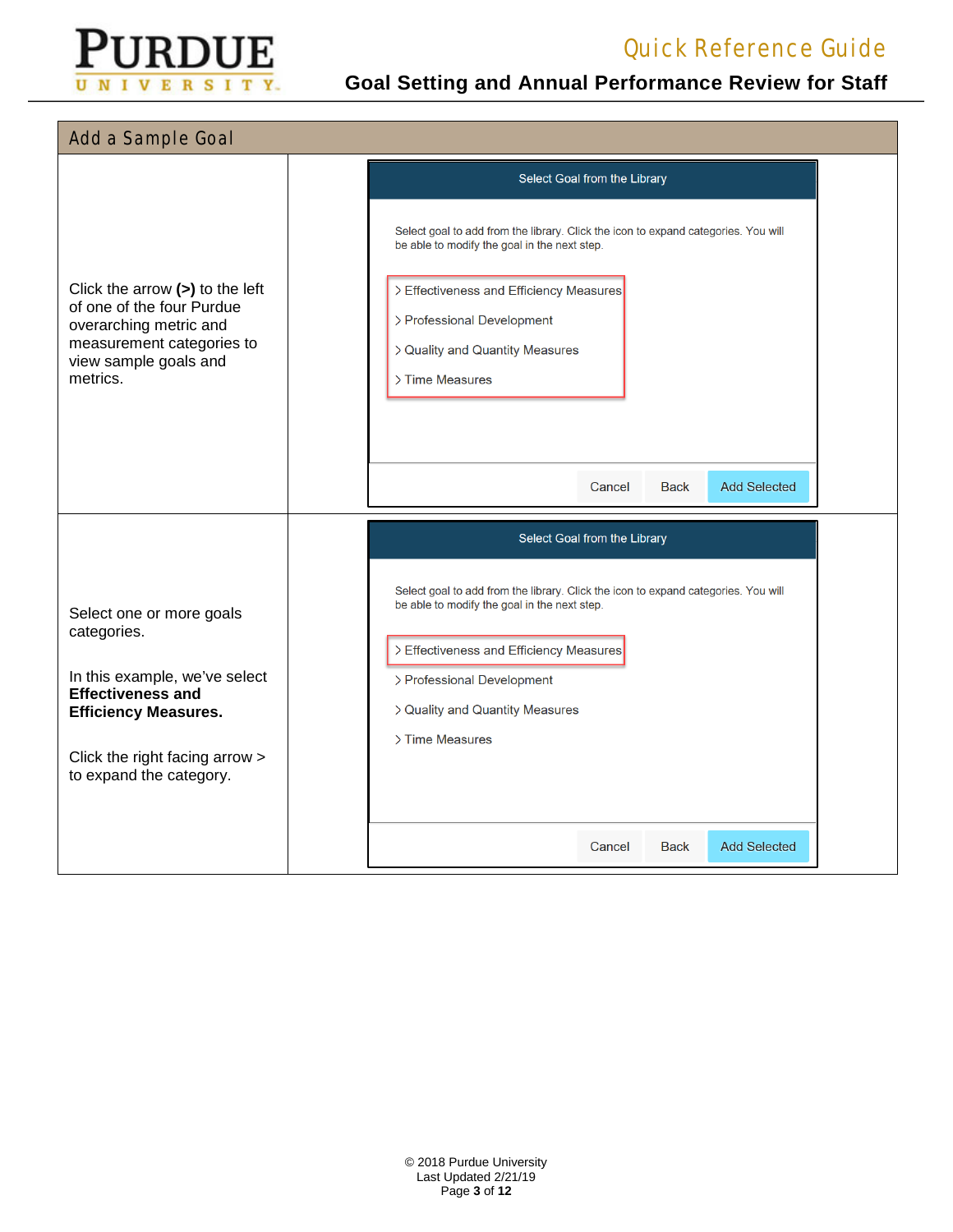

| <b>Add a Sample Goal</b>                                                                                                                                                                         |                                                                                                                                                                                                                                                                                                                                                   |  |
|--------------------------------------------------------------------------------------------------------------------------------------------------------------------------------------------------|---------------------------------------------------------------------------------------------------------------------------------------------------------------------------------------------------------------------------------------------------------------------------------------------------------------------------------------------------|--|
| Click the arrow $(>)$ to the left<br>of one of the four Purdue<br>overarching metric and<br>measurement categories to<br>view sample goals and<br>metrics.                                       | Select Goal from the Library<br>Select goal to add from the library. Click the icon to expand categories. You will<br>be able to modify the goal in the next step.<br>> Effectiveness and Efficiency Measures<br>> Professional Development<br>> Quality and Quantity Measures<br>> Time Measures<br><b>Add Selected</b><br>Cancel<br><b>Back</b> |  |
| Select one or more goals<br>categories.<br>In this example, we've select<br><b>Effectiveness and</b><br><b>Efficiency Measures.</b><br>Click the right facing arrow ><br>to expand the category. | Select Goal from the Library<br>Select goal to add from the library. Click the icon to expand categories. You will<br>be able to modify the goal in the next step.<br>> Effectiveness and Efficiency Measures<br>> Professional Development<br>> Quality and Quantity Measures<br>> Time Measures                                                 |  |
|                                                                                                                                                                                                  | <b>Add Selected</b><br>Cancel<br>Back                                                                                                                                                                                                                                                                                                             |  |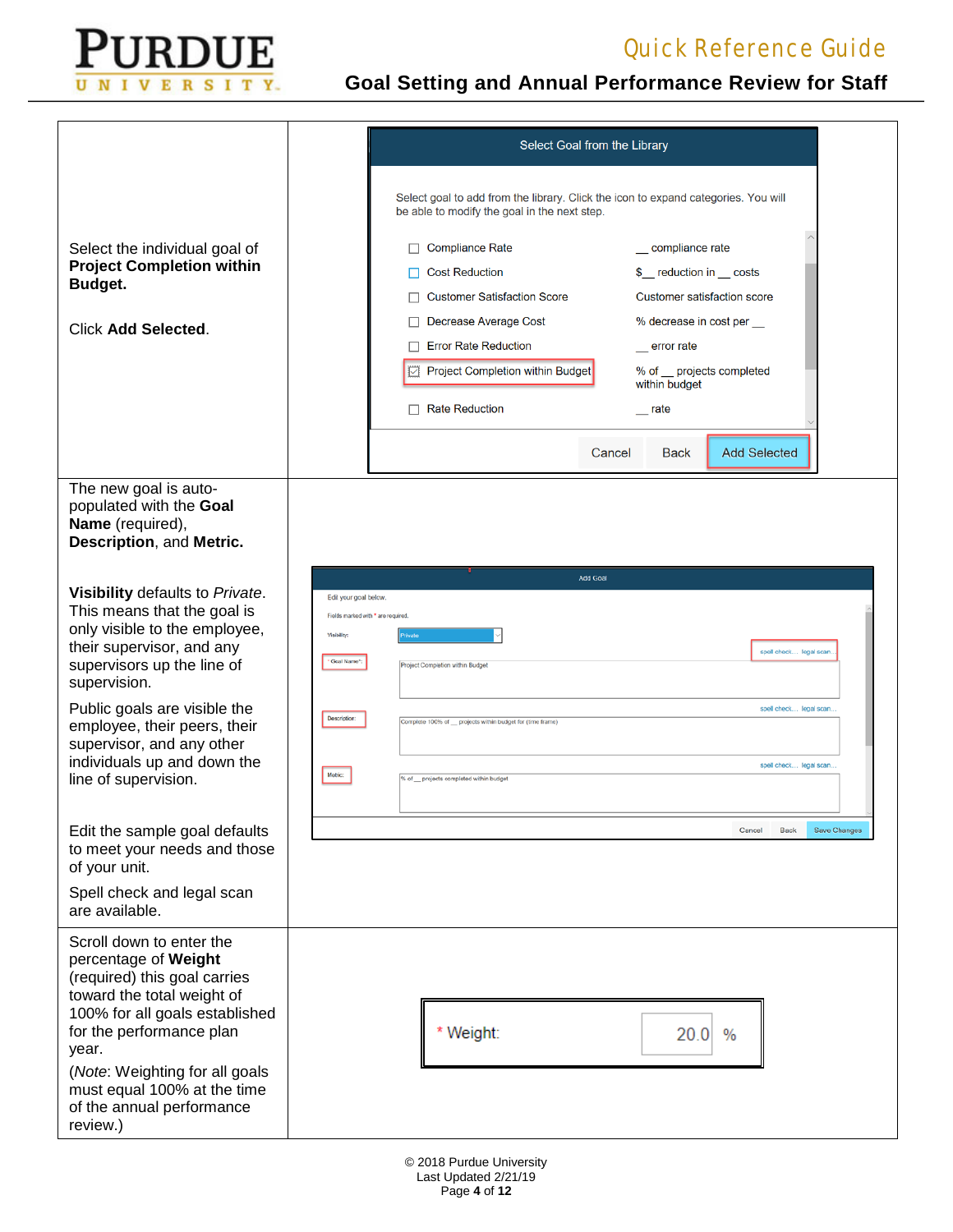

|                                                                                                                                                                                                                                                                                                                                | Select Goal from the Library                                                                                                                                                                                                                                                                                                                                                                                                                         |
|--------------------------------------------------------------------------------------------------------------------------------------------------------------------------------------------------------------------------------------------------------------------------------------------------------------------------------|------------------------------------------------------------------------------------------------------------------------------------------------------------------------------------------------------------------------------------------------------------------------------------------------------------------------------------------------------------------------------------------------------------------------------------------------------|
|                                                                                                                                                                                                                                                                                                                                | Select goal to add from the library. Click the icon to expand categories. You will<br>be able to modify the goal in the next step.                                                                                                                                                                                                                                                                                                                   |
| Select the individual goal of<br><b>Project Completion within</b><br>Budget.<br><b>Click Add Selected.</b>                                                                                                                                                                                                                     | <b>Compliance Rate</b><br>compliance rate<br>$\Box$<br><b>Cost Reduction</b><br>\$ reduction in costs<br><b>Customer Satisfaction Score</b><br>Customer satisfaction score<br>Decrease Average Cost<br>% decrease in cost per<br><b>Error Rate Reduction</b><br>error rate<br><b>E</b> Project Completion within Budget<br>% of projects completed<br>within budget<br>$\Box$ Rate Reduction<br>rate<br><b>Add Selected</b><br>Cancel<br><b>Back</b> |
| The new goal is auto-<br>populated with the Goal<br>Name (required),<br>Description, and Metric.                                                                                                                                                                                                                               |                                                                                                                                                                                                                                                                                                                                                                                                                                                      |
| Visibility defaults to Private.<br>This means that the goal is<br>only visible to the employee,<br>their supervisor, and any<br>supervisors up the line of<br>supervision.<br>Public goals are visible the<br>employee, their peers, their<br>supervisor, and any other<br>individuals up and down the<br>line of supervision. | <b>Add Goal</b><br>Edit your goal below.<br>Fields marked with " are required.<br>Visibility:<br>spell check legal scan<br>Goal Name":<br>Project Completion within Budget<br>spell check legal scan.<br>Description:<br>Complete 100% of projects within budget for (time frame)<br>spell check legal scan.<br>Motric:<br>% of __ projects completed within budget                                                                                  |
| Edit the sample goal defaults<br>to meet your needs and those<br>of your unit.<br>Spell check and legal scan<br>are available.                                                                                                                                                                                                 | Back<br>Save Changes<br>Cancel                                                                                                                                                                                                                                                                                                                                                                                                                       |
| Scroll down to enter the<br>percentage of Weight<br>(required) this goal carries<br>toward the total weight of<br>100% for all goals established<br>for the performance plan<br>year.<br>(Note: Weighting for all goals<br>must equal 100% at the time<br>of the annual performance<br>review.)                                | * Weight:<br>20.0<br>$\%$                                                                                                                                                                                                                                                                                                                                                                                                                            |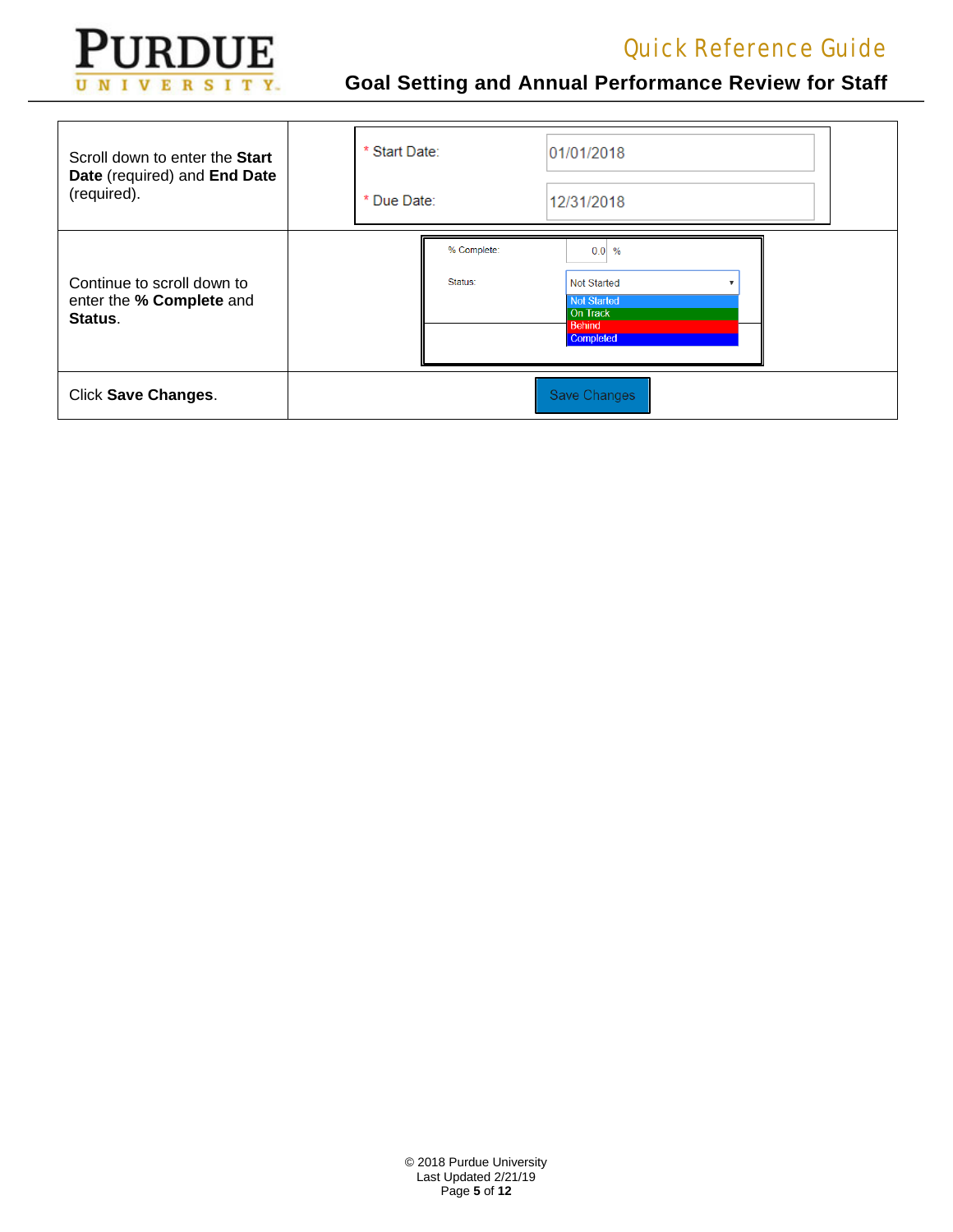

| Scroll down to enter the Start<br>Date (required) and End Date<br>(required). | * Start Date: |                        | 01/01/2018                                                                             |
|-------------------------------------------------------------------------------|---------------|------------------------|----------------------------------------------------------------------------------------|
|                                                                               | * Due Date:   |                        | 12/31/2018                                                                             |
| Continue to scroll down to<br>enter the % Complete and<br>Status.             |               | % Complete:<br>Status: | $0.0\%$<br><b>Not Started</b><br>Not Started<br>On Track<br><b>Behind</b><br>Completed |
| <b>Click Save Changes.</b>                                                    |               |                        | <b>Save Changes</b>                                                                    |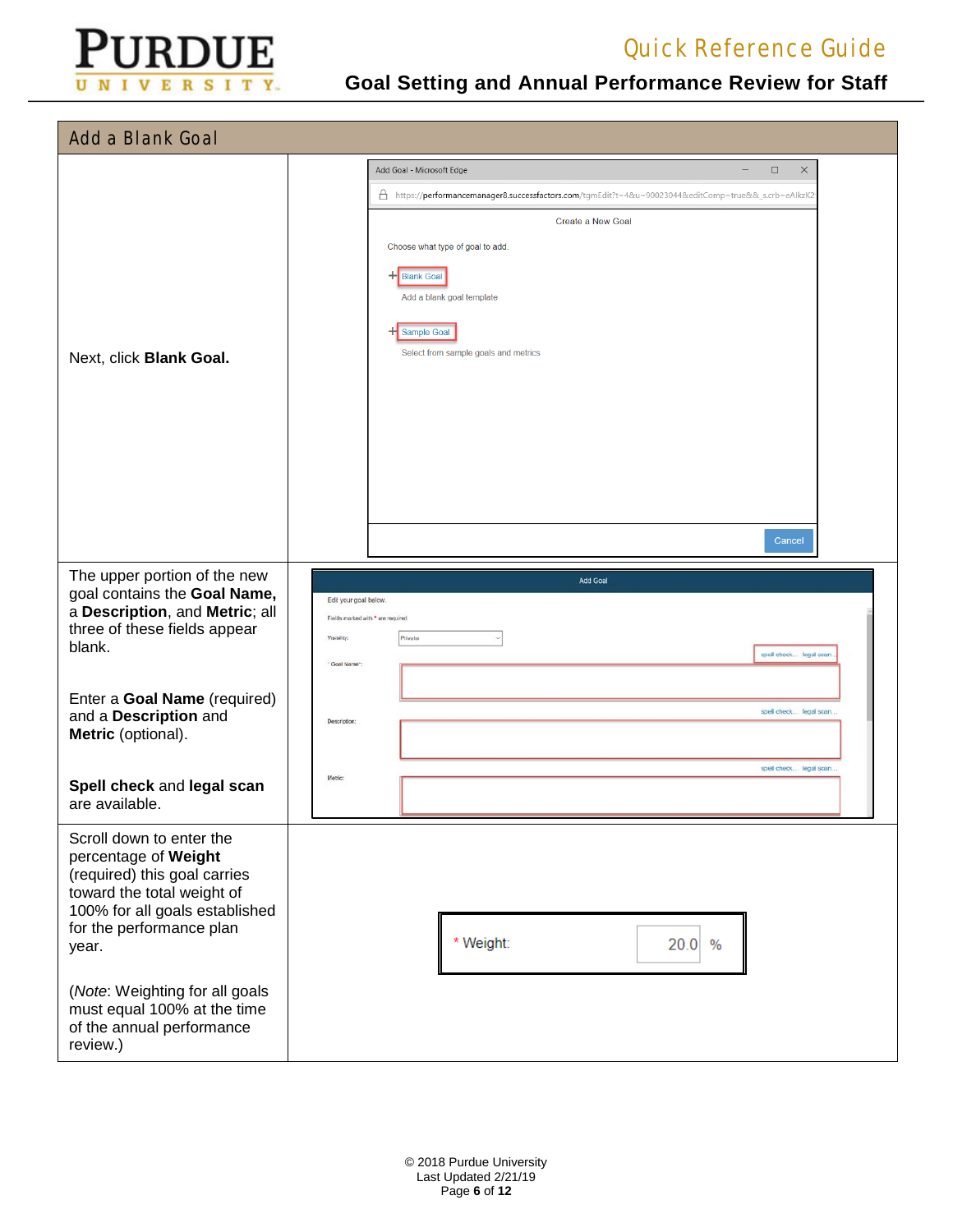

| <b>Add a Blank Goal</b>                                                                                                                                                                                                 |                                                                                                                                                                                                                                                                                                                                                  |
|-------------------------------------------------------------------------------------------------------------------------------------------------------------------------------------------------------------------------|--------------------------------------------------------------------------------------------------------------------------------------------------------------------------------------------------------------------------------------------------------------------------------------------------------------------------------------------------|
| Next, click Blank Goal.                                                                                                                                                                                                 | $\times$<br>$\Box$<br>Add Goal - Microsoft Edge<br>$\overline{\phantom{0}}$<br>https://performancemanager8.successfactors.com/tgmEdit?t=4&u=90023044&editComp=true&&_s.crb=eAlkzK2<br>Create a New Goal<br>Choose what type of goal to add.<br>+Blank Goal<br>Add a blank goal template<br>H Sample Goal<br>Select from sample goals and metrics |
| The upper portion of the new<br>goal contains the Goal Name,<br>a Description, and Metric; all<br>three of these fields appear<br>blank.<br>Enter a Goal Name (required)<br>and a Description and<br>Metric (optional). | Cancel<br>Add Goal<br>Edit your goal below.<br>Fields marked with * are required.<br>Visibility:<br>Privata<br>spell check legal scan<br>* Goal Name*<br>spell check legal scan.<br>Description:                                                                                                                                                 |
| Spell check and legal scan<br>are available.                                                                                                                                                                            | spell check legal scan.<br>Metric:                                                                                                                                                                                                                                                                                                               |
| Scroll down to enter the<br>percentage of Weight<br>(required) this goal carries<br>toward the total weight of<br>100% for all goals established<br>for the performance plan<br>year.                                   | * Weight:<br>20.0<br>$\frac{0}{0}$                                                                                                                                                                                                                                                                                                               |
| (Note: Weighting for all goals<br>must equal 100% at the time<br>of the annual performance<br>review.)                                                                                                                  |                                                                                                                                                                                                                                                                                                                                                  |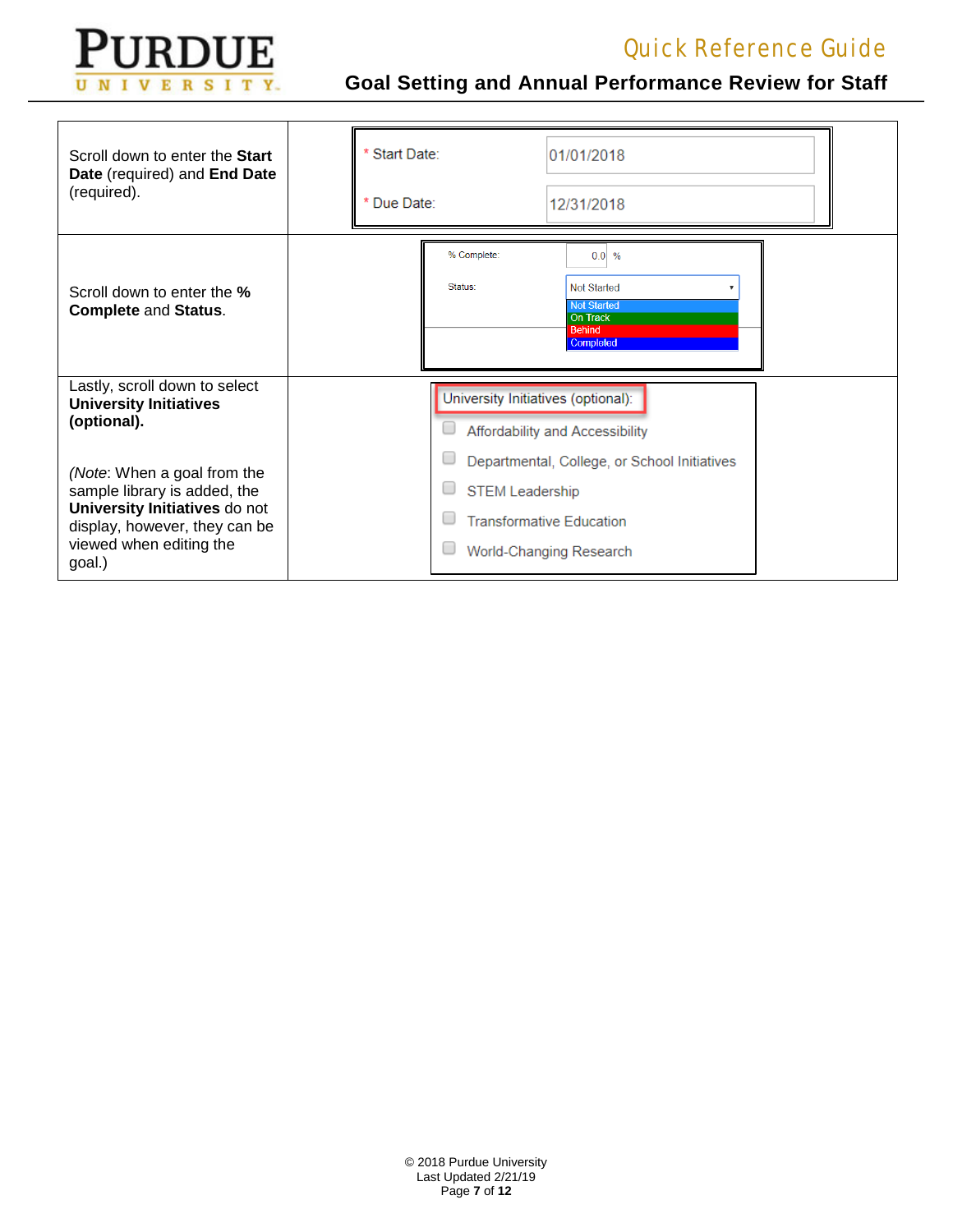

| Scroll down to enter the Start<br>Date (required) and End Date<br>(required).                                                                                      | Start Date:<br>* Due Date: |  |                                            | 01/01/2018<br>12/31/2018                                                                                   |  |
|--------------------------------------------------------------------------------------------------------------------------------------------------------------------|----------------------------|--|--------------------------------------------|------------------------------------------------------------------------------------------------------------|--|
| Scroll down to enter the %<br><b>Complete and Status.</b>                                                                                                          |                            |  | % Complete:<br>Status:                     | $0.0\%$<br><b>Not Started</b><br><b>Not Started</b><br><b>On Track</b><br>Behind<br>Completed              |  |
| Lastly, scroll down to select<br><b>University Initiatives</b><br>(optional).                                                                                      |                            |  | University Initiatives (optional):<br>L    | Affordability and Accessibility                                                                            |  |
| (Note: When a goal from the<br>sample library is added, the<br>University Initiatives do not<br>display, however, they can be<br>viewed when editing the<br>goal.) |                            |  | L<br>u<br><b>STEM Leadership</b><br>L<br>∟ | Departmental, College, or School Initiatives<br><b>Transformative Education</b><br>World-Changing Research |  |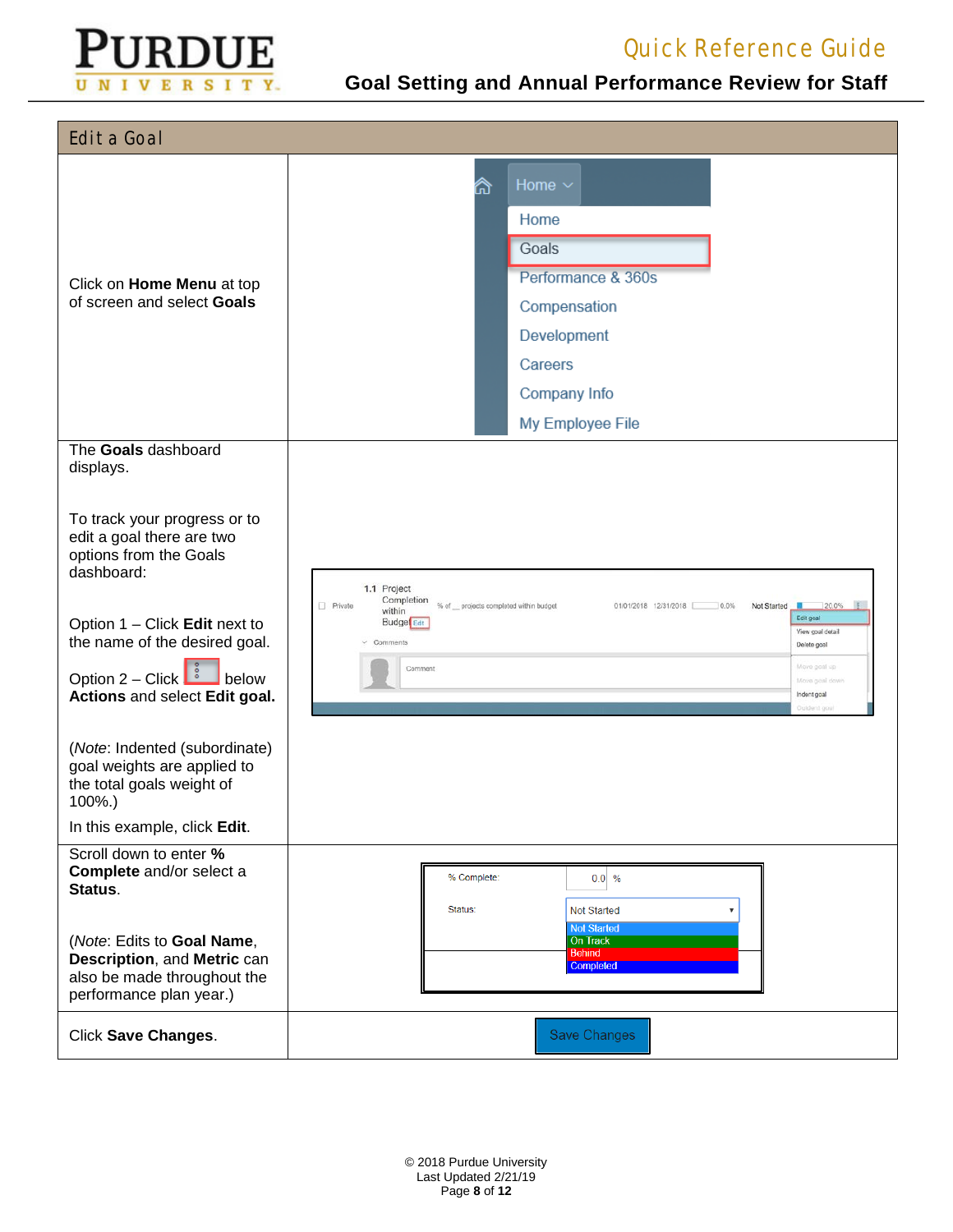

| <b>Edit a Goal</b>                                                                                                                                                                                                                                                          |                                                                                                                                                                                                                                                                                                                             |
|-----------------------------------------------------------------------------------------------------------------------------------------------------------------------------------------------------------------------------------------------------------------------------|-----------------------------------------------------------------------------------------------------------------------------------------------------------------------------------------------------------------------------------------------------------------------------------------------------------------------------|
|                                                                                                                                                                                                                                                                             | Home $\sim$<br>⋒                                                                                                                                                                                                                                                                                                            |
|                                                                                                                                                                                                                                                                             | Home                                                                                                                                                                                                                                                                                                                        |
|                                                                                                                                                                                                                                                                             | Goals                                                                                                                                                                                                                                                                                                                       |
|                                                                                                                                                                                                                                                                             | Performance & 360s                                                                                                                                                                                                                                                                                                          |
| Click on Home Menu at top<br>of screen and select Goals                                                                                                                                                                                                                     | Compensation                                                                                                                                                                                                                                                                                                                |
|                                                                                                                                                                                                                                                                             | Development                                                                                                                                                                                                                                                                                                                 |
|                                                                                                                                                                                                                                                                             | Careers                                                                                                                                                                                                                                                                                                                     |
|                                                                                                                                                                                                                                                                             | Company Info                                                                                                                                                                                                                                                                                                                |
|                                                                                                                                                                                                                                                                             | My Employee File                                                                                                                                                                                                                                                                                                            |
| The Goals dashboard<br>displays.                                                                                                                                                                                                                                            |                                                                                                                                                                                                                                                                                                                             |
| To track your progress or to<br>edit a goal there are two<br>options from the Goals<br>dashboard:<br>Option 1 - Click Edit next to<br>the name of the desired goal.<br>Option $2 - \text{Click}$<br>below<br>Actions and select Edit goal.<br>(Note: Indented (subordinate) | 1.1 Project<br>Completion<br>Private<br>% of __ projects completed within budget<br>01/01/2018 12/31/2018 0.0%<br>Not Started<br>720.0%<br>within<br>Edit goal<br>Budge <sup>l</sup> Edit<br>View goal detail<br>$\vee$ Comments<br>Delete goal<br>Move goal up<br>Comment<br>Move goal down<br>Indont goal<br>Dutdent goal |
| goal weights are applied to<br>the total goals weight of<br>100%.)                                                                                                                                                                                                          |                                                                                                                                                                                                                                                                                                                             |
| In this example, click Edit.                                                                                                                                                                                                                                                |                                                                                                                                                                                                                                                                                                                             |
| Scroll down to enter %<br>Complete and/or select a<br>Status.                                                                                                                                                                                                               | % Complete:<br>$0.0\frac{9}{6}$<br>Not Started<br>Status:                                                                                                                                                                                                                                                                   |
| (Note: Edits to Goal Name,<br>Description, and Metric can<br>also be made throughout the<br>performance plan year.)                                                                                                                                                         | <b>Not Started</b><br><b>On Track</b><br><b>Behind</b><br>Completed                                                                                                                                                                                                                                                         |
| Click Save Changes.                                                                                                                                                                                                                                                         | <b>Save Changes</b>                                                                                                                                                                                                                                                                                                         |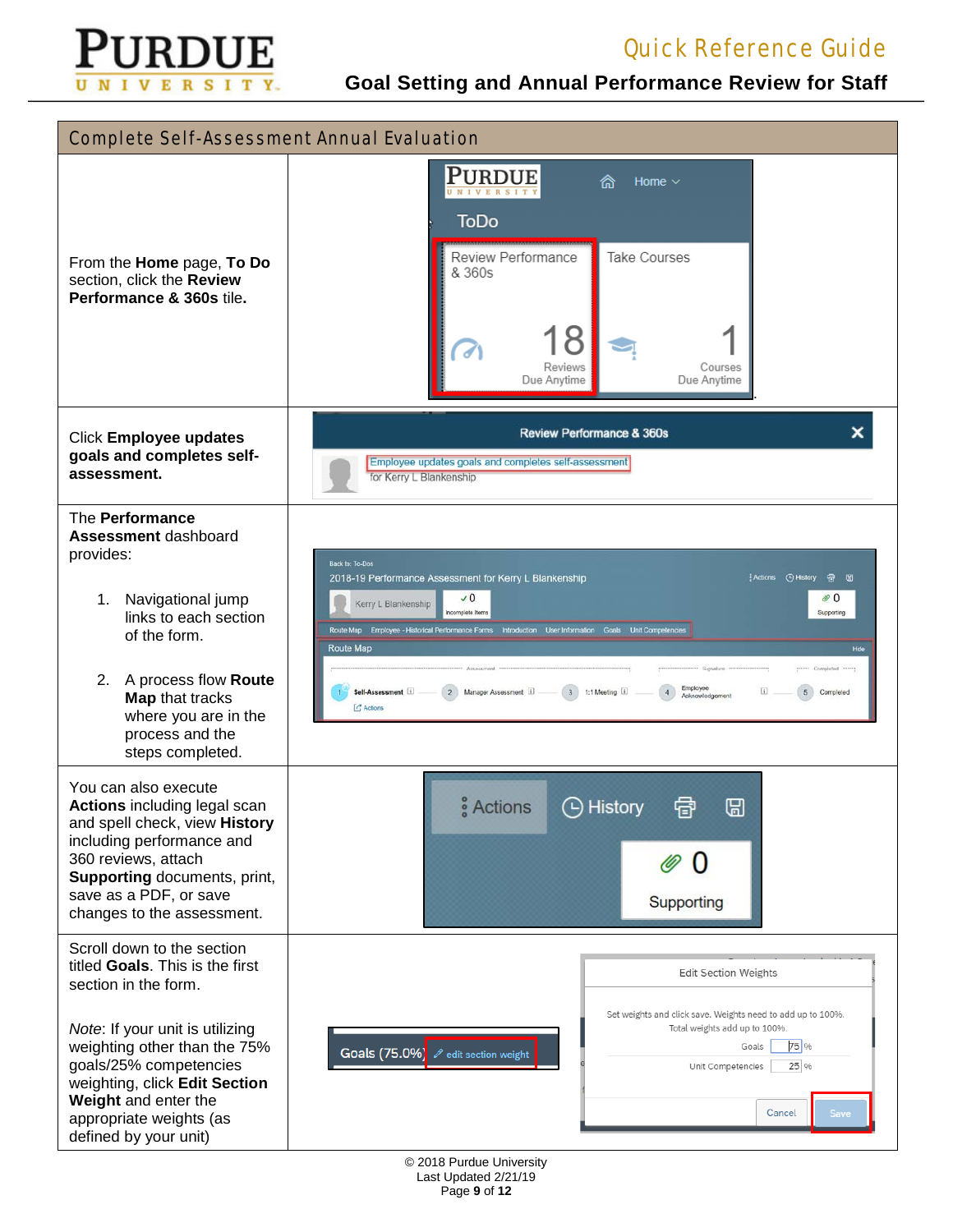

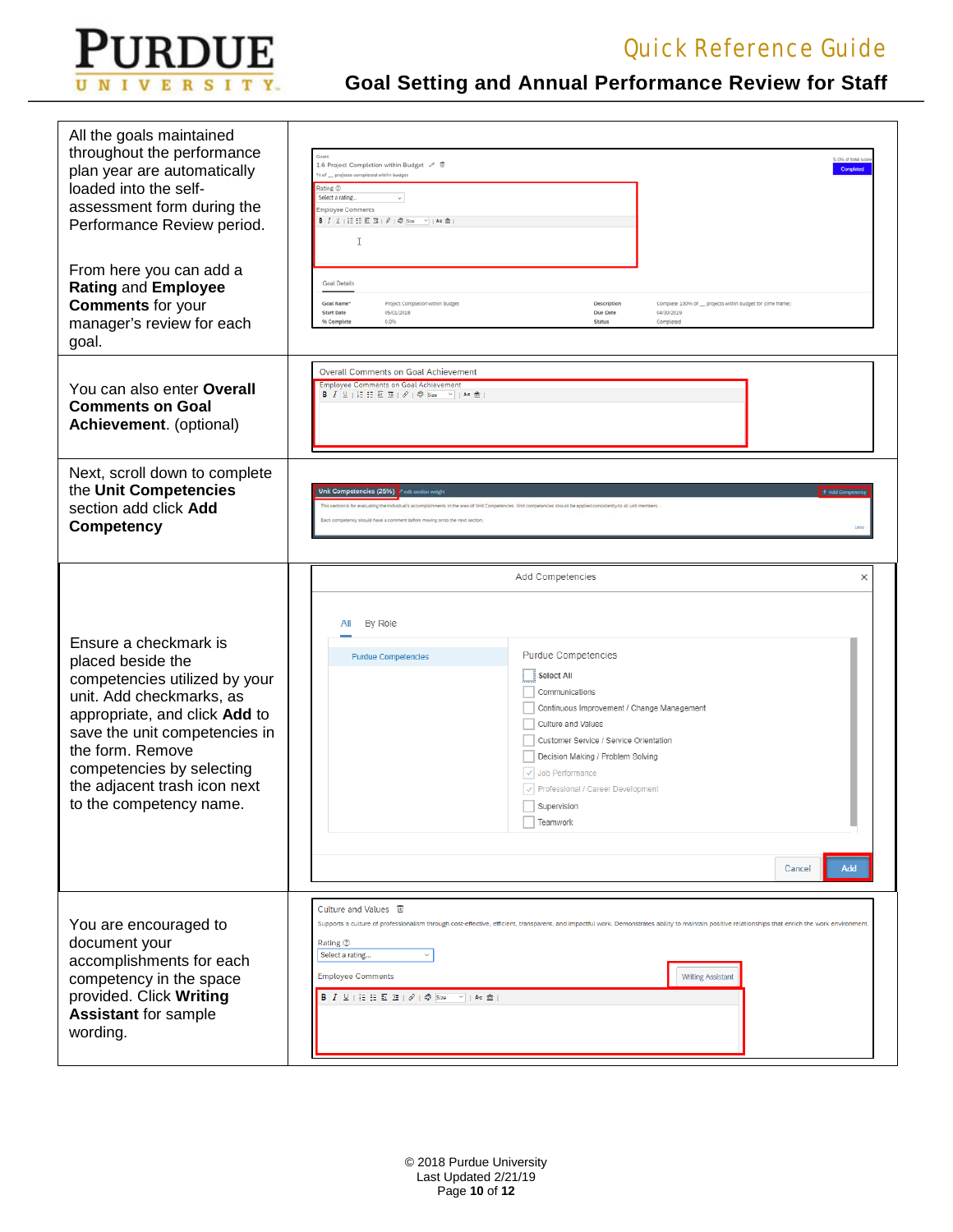

| All the goals maintained<br>throughout the performance<br>plan year are automatically<br>loaded into the self-<br>assessment form during the<br>Performance Review period.                                                                                                            | 5.0% of total sc<br>1.6 Project Completion within Budget / 盲<br>Completed<br>% of _projects completed within budget<br>Rating ®<br>Select a rating.<br>$\omega$<br><b>Employee Comments</b><br>T                                                                                                                                                                                                                                                                                                               |
|---------------------------------------------------------------------------------------------------------------------------------------------------------------------------------------------------------------------------------------------------------------------------------------|----------------------------------------------------------------------------------------------------------------------------------------------------------------------------------------------------------------------------------------------------------------------------------------------------------------------------------------------------------------------------------------------------------------------------------------------------------------------------------------------------------------|
| From here you can add a<br>Rating and Employee<br><b>Comments</b> for your<br>manager's review for each<br>goal.                                                                                                                                                                      | <b>Goal Details</b><br>Goal Name*<br>Project Completion within Budget<br>Description<br>Complete 100% of __ projects within budget for (time frame)<br>05/01/2018<br>Due Date<br>04/30/2019<br><b>Start Date</b><br>% Complete<br>0.0%<br><b>Status</b><br>Completed                                                                                                                                                                                                                                           |
| You can also enter Overall<br><b>Comments on Goal</b><br>Achievement. (optional)                                                                                                                                                                                                      | <b>Overall Comments on Goal Achievement</b><br><b>Employee Comments on Goal Achievement</b><br>B <i>I</i> リ 日田西西 ク @ Size >  Az 金                                                                                                                                                                                                                                                                                                                                                                              |
| Next, scroll down to complete<br>the Unit Competencies<br>section add click Add<br><b>Competency</b>                                                                                                                                                                                  | Unit Competencies (25%) r edit section weight<br>+ Add Cor<br>This section is for evaluating the individual's accomplishments in the area of Unit Competencies. Unit competencies should be applied consistently to all unit mentien<br>ky should have a comment before moving on to the next section                                                                                                                                                                                                          |
| Ensure a checkmark is<br>placed beside the<br>competencies utilized by your<br>unit. Add checkmarks, as<br>appropriate, and click Add to<br>save the unit competencies in<br>the form. Remove<br>competencies by selecting<br>the adjacent trash icon next<br>to the competency name. | Add Competencies<br>×<br>By Role<br>All<br>Purdue Competencies<br><b>Purdue Competencies</b><br>Select All<br>Communications<br>Continuous Improvement / Change Management<br>Culture and Values<br>Customer Service / Service Orientation<br>Decision Making / Problem Solving<br>√ Job Performance<br>√ Professional / Career Development<br>Supervision<br>$\Box$ Teamwork<br>Add<br>Cancel                                                                                                                 |
| You are encouraged to<br>document your<br>accomplishments for each<br>competency in the space<br>provided. Click Writing<br><b>Assistant for sample</b><br>wording.                                                                                                                   | Culture and Values 画<br>Supports a culture of professionalism through cost-effective, efficient, transparent, and impactful work. Demonstrates ability to maintain positive relationships that enrich the work environment.<br>Rating 2<br>Select a rating<br>$\checkmark$<br><b>Employee Comments</b><br><b>Writing Assistant</b><br><b>B</b> $I \perp \perp$ $\parallel$ $\equiv$ $\equiv$ $\equiv$ $\equiv$ $\parallel \vartheta \parallel \varphi$ Size $\parallel \vee \parallel$ Az $\hat{\mathfrak{m}}$ |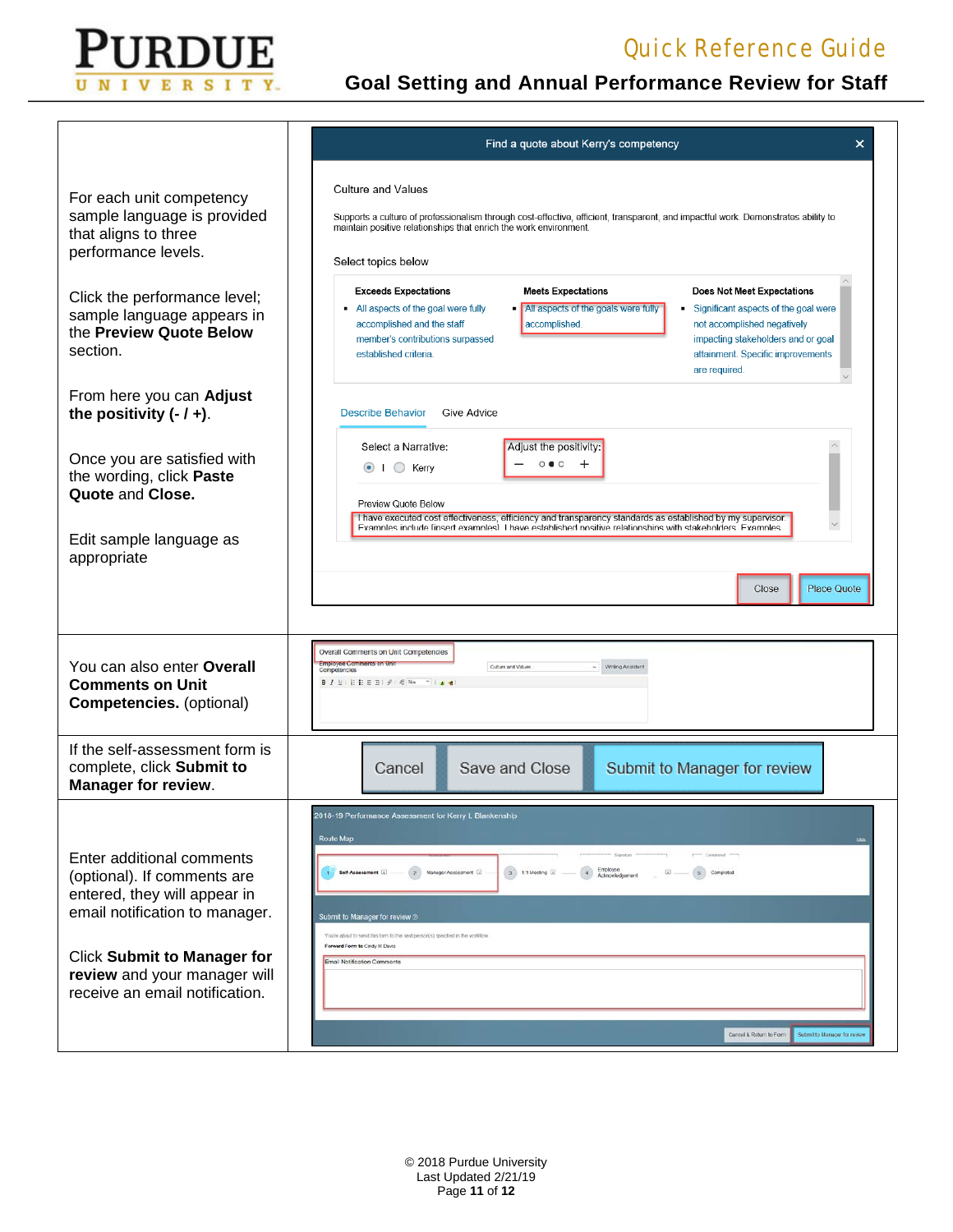

| Find a quote about Kerry's competency<br>×                                                                                                                                                                                                                                                                                                                                                                                                                                                   |  |  |  |  |
|----------------------------------------------------------------------------------------------------------------------------------------------------------------------------------------------------------------------------------------------------------------------------------------------------------------------------------------------------------------------------------------------------------------------------------------------------------------------------------------------|--|--|--|--|
| <b>Culture and Values</b><br>Supports a culture of professionalism through cost-effective, efficient, transparent, and impactful work. Demonstrates ability to<br>maintain positive relationships that enrich the work environment.<br>Select topics below                                                                                                                                                                                                                                   |  |  |  |  |
| <b>Exceeds Expectations</b><br><b>Meets Expectations</b><br><b>Does Not Meet Expectations</b><br>• All aspects of the goal were fully<br>All aspects of the goals were fully<br>Significant aspects of the goal were<br>$\blacksquare$<br>accomplished.<br>accomplished and the staff<br>not accomplished negatively<br>member's contributions surpassed<br>impacting stakeholders and or goal<br>established criteria.<br>attainment. Specific improvements<br>are required.                |  |  |  |  |
| <b>Describe Behavior</b><br>Give Advice                                                                                                                                                                                                                                                                                                                                                                                                                                                      |  |  |  |  |
| Select a Narrative:<br>Adjust the positivity:<br>$\circ \bullet \circ$<br>$\pm$<br>$\Box$ Kerry<br>$\left( \bullet \right)$<br>Preview Quote Below<br>I have executed cost effectiveness, efficiency and transparency standards as established by my supervisor.<br>Examples include linsert examples] I have established positive relationships with stakeholders. Examples                                                                                                                 |  |  |  |  |
| <b>Place Quote</b><br>Close                                                                                                                                                                                                                                                                                                                                                                                                                                                                  |  |  |  |  |
|                                                                                                                                                                                                                                                                                                                                                                                                                                                                                              |  |  |  |  |
| Overall Comments on Unit Competencies<br>Employee Comments on Unit<br>Culture and Values<br>Writing Assistant<br>Compotoncios                                                                                                                                                                                                                                                                                                                                                                |  |  |  |  |
| Save and Close<br>Submit to Manager for review<br>Cancel                                                                                                                                                                                                                                                                                                                                                                                                                                     |  |  |  |  |
| 2018-19 Performance Assessment for Kerry L Blankenship<br>Route Map<br>Caisplated<br>Employee<br>Acknowledgement<br>3 1.1 Mooting (i)<br>$\left( 2\right)$<br>Manager Assessment [i]<br>(4)<br>5 Comploted<br>Self-Assessment [1]<br>$\omega$<br>Submit to Manager for review @<br>You're about to send this form to the next person(s) specified in the worktlow<br>Forward Form to Cindy M Davis<br>Email Notification Comments<br>Cancel & Return to Form<br>Submit to Manager for review |  |  |  |  |
|                                                                                                                                                                                                                                                                                                                                                                                                                                                                                              |  |  |  |  |